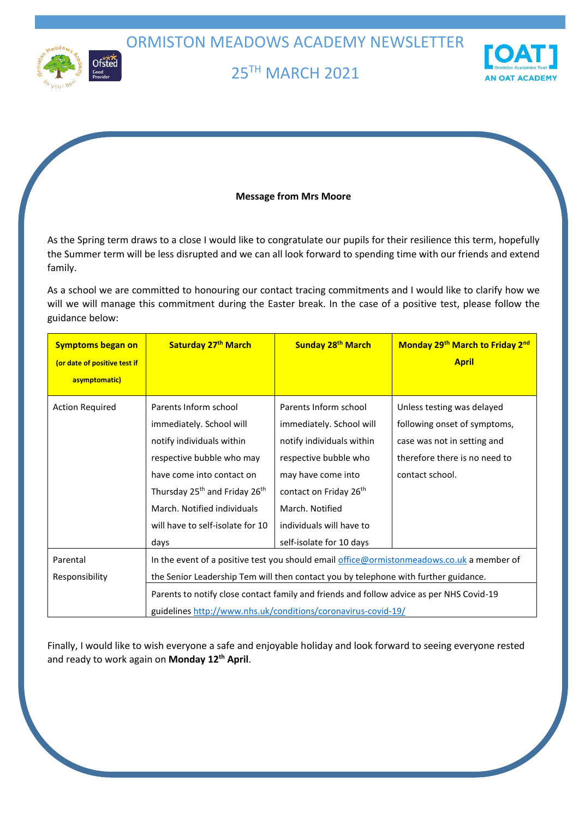ORMISTON MEADOWS ACADEMY NEWSLETTER



# 25TH MARCH 2021



# **Message from Mrs Moore**

As the Spring term draws to a close I would like to congratulate our pupils for their resilience this term, hopefully the Summer term will be less disrupted and we can all look forward to spending time with our friends and extend family.

As a school we are committed to honouring our contact tracing commitments and I would like to clarify how we will we will manage this commitment during the Easter break. In the case of a positive test, please follow the guidance below:

| <b>Symptoms began on</b>     | Saturday 27th March                                                                       | Sunday 28 <sup>th</sup> March      | Monday 29th March to Friday 2nd |  |  |
|------------------------------|-------------------------------------------------------------------------------------------|------------------------------------|---------------------------------|--|--|
| (or date of positive test if |                                                                                           |                                    | <b>April</b>                    |  |  |
| asymptomatic)                |                                                                                           |                                    |                                 |  |  |
| <b>Action Required</b>       | Parents Inform school                                                                     | Parents Inform school              | Unless testing was delayed      |  |  |
|                              | immediately. School will                                                                  | immediately. School will           | following onset of symptoms,    |  |  |
|                              | notify individuals within                                                                 | notify individuals within          | case was not in setting and     |  |  |
|                              | respective bubble who may                                                                 | respective bubble who              | therefore there is no need to   |  |  |
|                              | have come into contact on                                                                 | may have come into                 | contact school.                 |  |  |
|                              | Thursday 25 <sup>th</sup> and Friday 26 <sup>th</sup>                                     | contact on Friday 26 <sup>th</sup> |                                 |  |  |
|                              | March. Notified individuals                                                               | March. Notified                    |                                 |  |  |
|                              | will have to self-isolate for 10                                                          | individuals will have to           |                                 |  |  |
|                              | days                                                                                      | self-isolate for 10 days           |                                 |  |  |
| Parental                     | In the event of a positive test you should email office@ormistonmeadows.co.uk a member of |                                    |                                 |  |  |
| Responsibility               | the Senior Leadership Tem will then contact you by telephone with further guidance.       |                                    |                                 |  |  |
|                              | Parents to notify close contact family and friends and follow advice as per NHS Covid-19  |                                    |                                 |  |  |
|                              | guidelines http://www.nhs.uk/conditions/coronavirus-covid-19/                             |                                    |                                 |  |  |

Finally, I would like to wish everyone a safe and enjoyable holiday and look forward to seeing everyone rested and ready to work again on **Monday 12th April**.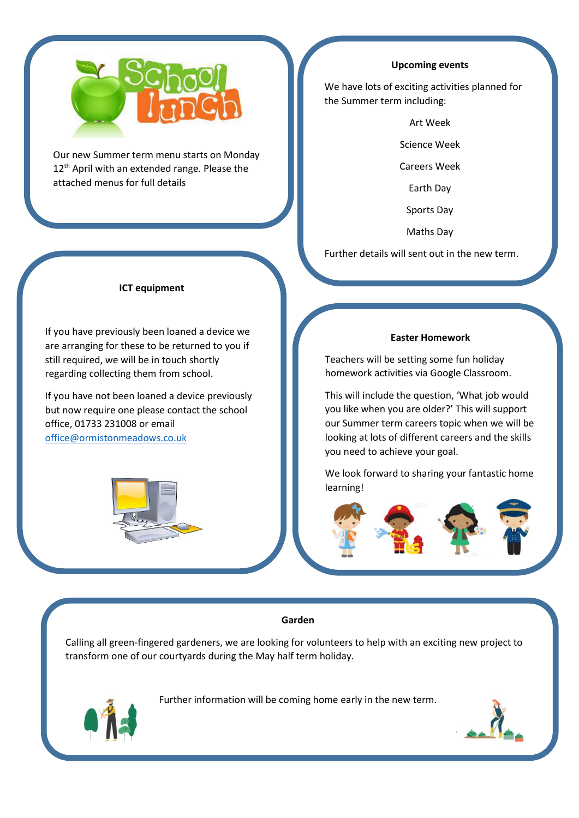

Our new Summer term menu starts on Monday 12<sup>th</sup> April with an extended range. Please the attached menus for full details

# **ICT equipment**

If you have previously been loaned a device we are arranging for these to be returned to you if still required, we will be in touch shortly regarding collecting them from school.

If you have not been loaned a device previously but now require one please contact the school office, 01733 231008 or email [office@ormistonmeadows.co.uk](mailto:office@ormistonmeadows.co.uk)



#### **Upcoming events**

We have lots of exciting activities planned for the Summer term including:

Art Week

Science Week

Careers Week

Earth Day

Sports Day

Maths Day

Further details will sent out in the new term.

### **Easter Homework**

Teachers will be setting some fun holiday homework activities via Google Classroom.

This will include the question, 'What job would you like when you are older?' This will support our Summer term careers topic when we will be looking at lots of different careers and the skills you need to achieve your goal.

We look forward to sharing your fantastic home learning!

#### **Garden**

Calling all green-fingered gardeners, we are looking for volunteers to help with an exciting new project to transform one of our courtyards during the May half term holiday.

Further information will be coming home early in the new term.



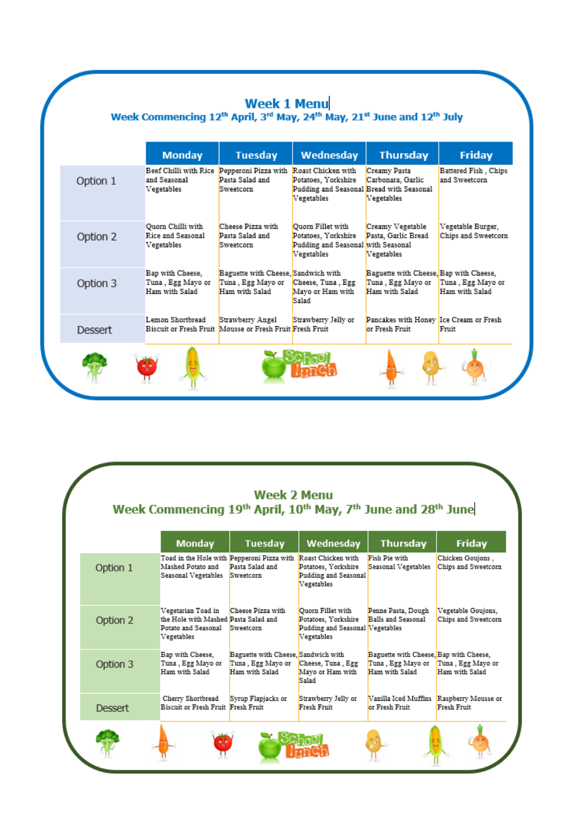|                | <b>Monday</b>                                                            | <b>Tuesday</b>                                                               | Wednesday                                                                                           | <b>Thursday</b>                                                               | <b>Friday</b>                                |
|----------------|--------------------------------------------------------------------------|------------------------------------------------------------------------------|-----------------------------------------------------------------------------------------------------|-------------------------------------------------------------------------------|----------------------------------------------|
| Option 1       | Beef Chilli with Rice Pepperoni Pizza with<br>and Seasonal<br>Vegetables | Pasta Salad and<br>Sweetcom                                                  | Roast Chicken with<br>Potatoes, Yorkshire<br>Pudding and Seasonal Bread with Seasonal<br>Vegetables | Creamy Pasta<br>Carbonara, Garlic<br>Vegetables                               | <b>Battered Fish, Chips</b><br>and Sweetcorn |
| Option 2       | Quorn Chilli with<br>Rice and Seasonal<br>Vegetables                     | Cheese Pizza with<br>Pasta Salad and<br>Sweetcom                             | Ouorn Fillet with<br>Potatoes, Yorkshire<br>Pudding and Seasonal with Seasonal<br>Vegetables        | Creamy Vegetable<br>Pasta, Garlic Bread<br>Vegetables                         | Vegetable Burger,<br>Chips and Sweetcorn     |
| Option 3       | Bap with Cheese,<br>Tuna, Egg Mayo or<br>Ham with Salad                  | Baguette with Cheese, Sandwich with<br>Tuna, Egg Mayo or<br>Ham with Salad   | Cheese, Tuna, Egg<br>Mayo or Ham with<br>Salad                                                      | Baguette with Cheese, Bap with Cheese,<br>Tuna, Egg Mayo or<br>Ham with Salad | Tuna, Egg Mayo or<br>Ham with Salad          |
| <b>Dessert</b> | Lemon Shortbread                                                         | Strawberry Angel<br>Biscuit or Fresh Fruit Mousse or Fresh Fruit Fresh Fruit | Strawberry Jelly or                                                                                 | Pancakes with Honey Ice Cream or Fresh<br>or Fresh Fruit                      | Fruit                                        |

|                | <b>Monday</b>                                                                                   | <b>Tuesday</b>                                                             | Wednesday                                                                                 | <b>Thursday</b>                                                               | <b>Friday</b>                             |
|----------------|-------------------------------------------------------------------------------------------------|----------------------------------------------------------------------------|-------------------------------------------------------------------------------------------|-------------------------------------------------------------------------------|-------------------------------------------|
| Option 1       | Toad in the Hole with Pepperoni Pizza with<br>Mashed Potato and<br>Seasonal Vegetables          | Pasta Salad and<br>Sweetcom                                                | Roast Chicken with<br>Potatoes, Yorkshire<br>Pudding and Seasonal<br>Vegetables           | Fish Pie with<br>Seasonal Vegetables                                          | Chicken Goujons,<br>Chips and Sweetcorn   |
| Option 2       | Vegetarian Toad in<br>the Hole with Mashed Pasta Salad and<br>Potato and Seasonal<br>Vegetables | Cheese Pizza with<br>Sweetcom                                              | Ouorn Fillet with<br>Potatoes, Yorkshire<br>Pudding and Seasonal Vegetables<br>Vegetables | Penne Pasta, Dough<br>Balls and Seasonal                                      | Vegetable Goujons,<br>Chips and Sweetcorn |
| Option 3       | Bap with Cheese,<br>Tuna, Egg Mayo or<br>Ham with Salad                                         | Baguette with Cheese, Sandwich with<br>Tuna, Egg Mayo or<br>Ham with Salad | Cheese, Tuna, Egg<br>Mavo or Ham with<br>Salad                                            | Baguette with Cheese, Bap with Cheese,<br>Tuna, Egg Mayo or<br>Ham with Salad | Tuna, Egg Mavo or<br>Ham with Salad       |
| <b>Dessert</b> | Cherry Shortbread<br>Biscuit or Fresh Fruit Fresh Fruit                                         | Syrup Flapjacks or                                                         | Strawberry Jelly or<br>Fresh Fruit                                                        | Vanilla Iced Muffins<br>or Fresh Fruit                                        | Raspberry Mousse or<br>Fresh Fruit        |